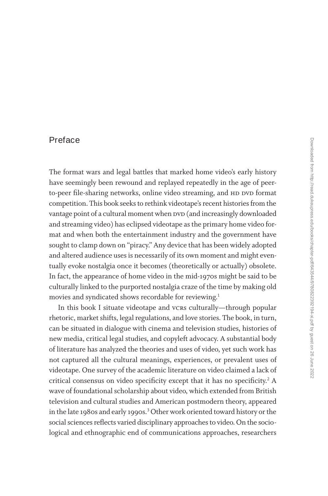## **Preface**

The format wars and legal battles that marked home video's early history have seemingly been rewound and replayed repeatedly in the age of peerto-peer file-sharing networks, online video streaming, and HD DVD format competition. This book seeks to rethink videotape's recent histories from the vantage point of a cultural moment when DVD (and increasingly downloaded and streaming video) has eclipsed videotape as the primary home video format and when both the entertainment industry and the government have sought to clamp down on "piracy." Any device that has been widely adopted and altered audience uses is necessarily of its own moment and might eventually evoke nostalgia once it becomes (theoretically or actually) obsolete. In fact, the appearance of home video in the mid-1970s might be said to be culturally linked to the purported nostalgia craze of the time by making old movies and syndicated shows recordable for reviewing.<sup>1</sup>

In this book I situate videotape and vcrs culturally—through popular rhetoric, market shifts, legal regulations, and love stories. The book, in turn, can be situated in dialogue with cinema and television studies, histories of new media, critical legal studies, and copyleft advocacy. A substantial body of literature has analyzed the theories and uses of video, yet such work has not captured all the cultural meanings, experiences, or prevalent uses of videotape. One survey of the academic literature on video claimed a lack of critical consensus on video specificity except that it has no specificity.<sup>2</sup> A wave of foundational scholarship about video, which extended from British television and cultural studies and American postmodern theory, appeared in the late 1980s and early 1990s.<sup>3</sup> Other work oriented toward history or the social sciences reflects varied disciplinary approaches to video. On the sociological and ethnographic end of communications approaches, researchers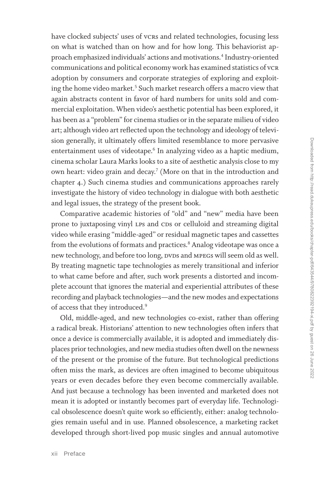have clocked subjects' uses of vcrs and related technologies, focusing less on what is watched than on how and for how long. This behaviorist approach emphasized individuals' actions and motivations.<sup>4</sup> Industry-oriented communications and political economy work has examined statistics of vcr adoption by consumers and corporate strategies of exploring and exploiting the home video market.<sup>5</sup> Such market research offers a macro view that again abstracts content in favor of hard numbers for units sold and commercial exploitation. When video's aesthetic potential has been explored, it has been as a "problem" for cinema studies or in the separate milieu of video art; although video art reflected upon the technology and ideology of television generally, it ultimately offers limited resemblance to more pervasive entertainment uses of videotape.<sup>6</sup> In analyzing video as a haptic medium, cinema scholar Laura Marks looks to a site of aesthetic analysis close to my own heart: video grain and decay.<sup>7</sup> (More on that in the introduction and chapter 4.) Such cinema studies and communications approaches rarely investigate the history of video technology in dialogue with both aesthetic and legal issues, the strategy of the present book.

Comparative academic histories of "old" and "new" media have been prone to juxtaposing vinyl LPs and CDs or celluloid and streaming digital video while erasing "middle-aged" or residual magnetic tapes and cassettes from the evolutions of formats and practices.<sup>8</sup> Analog videotape was once a new technology, and before too long, DVDs and MPEGs will seem old as well. By treating magnetic tape technologies as merely transitional and inferior to what came before and after, such work presents a distorted and incomplete account that ignores the material and experiential attributes of these recording and playback technologies—and the new modes and expectations of access that they introduced.<sup>9</sup>

Old, middle-aged, and new technologies co-exist, rather than offering a radical break. Historians' attention to new technologies often infers that once a device is commercially available, it is adopted and immediately displaces prior technologies, and new media studies often dwell on the newness of the present or the promise of the future. But technological predictions often miss the mark, as devices are often imagined to become ubiquitous years or even decades before they even become commercially available. And just because a technology has been invented and marketed does not mean it is adopted or instantly becomes part of everyday life. Technological obsolescence doesn't quite work so efficiently, either: analog technologies remain useful and in use. Planned obsolescence, a marketing racket developed through short-lived pop music singles and annual automotive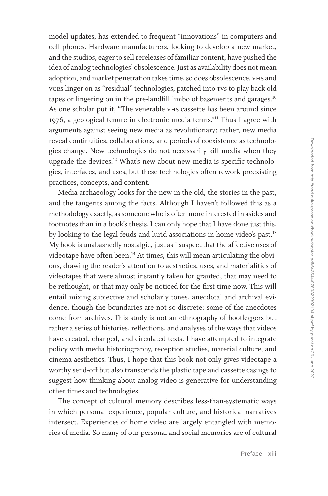model updates, has extended to frequent "innovations" in computers and cell phones. Hardware manufacturers, looking to develop a new market, and the studios, eager to sell rereleases of familiar content, have pushed the idea of analog technologies' obsolescence. Just as availability does not mean adoption, and market penetration takes time, so does obsolescence. vhs and vcrs linger on as "residual" technologies, patched into rvs to play back old tapes or lingering on in the pre-landfill limbo of basements and garages.<sup>10</sup> As one scholar put it, "The venerable vhs cassette has been around since 1976, a geological tenure in electronic media terms."<sup>11</sup> Thus I agree with arguments against seeing new media as revolutionary; rather, new media reveal continuities, collaborations, and periods of coexistence as technologies change. New technologies do not necessarily kill media when they upgrade the devices.<sup>12</sup> What's new about new media is specific technologies, interfaces, and uses, but these technologies often rework preexisting practices, concepts, and content.

Media archaeology looks for the new in the old, the stories in the past, and the tangents among the facts. Although I haven't followed this as a methodology exactly, as someone who is often more interested in asides and footnotes than in a book's thesis, I can only hope that I have done just this, by looking to the legal feuds and lurid associations in home video's past.<sup>13</sup> My book is unabashedly nostalgic, just as I suspect that the affective uses of videotape have often been.<sup>14</sup> At times, this will mean articulating the obvious, drawing the reader's attention to aesthetics, uses, and materialities of videotapes that were almost instantly taken for granted, that may need to be rethought, or that may only be noticed for the first time now. This will entail mixing subjective and scholarly tones, anecdotal and archival evidence, though the boundaries are not so discrete: some of the anecdotes come from archives. This study is not an ethnography of bootleggers but rather a series of histories, reflections, and analyses of the ways that videos have created, changed, and circulated texts. I have attempted to integrate policy with media historiography, reception studies, material culture, and cinema aesthetics. Thus, I hope that this book not only gives videotape a worthy send-off but also transcends the plastic tape and cassette casings to suggest how thinking about analog video is generative for understanding other times and technologies.

The concept of cultural memory describes less-than-systematic ways in which personal experience, popular culture, and historical narratives intersect. Experiences of home video are largely entangled with memories of media. So many of our personal and social memories are of cultural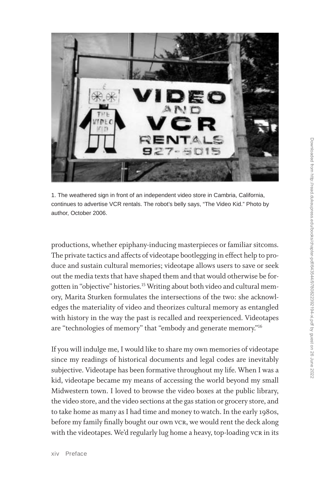

**1.** The weathered sign in front of an independent video store in Cambria, California, continues to advertise VCR rentals. The robot's belly says, "The Video Kid." Photo by author, October 2006.

productions, whether epiphany-inducing masterpieces or familiar sitcoms. The private tactics and affects of videotape bootlegging in effect help to produce and sustain cultural memories; videotape allows users to save or seek out the media texts that have shaped them and that would otherwise be forgotten in "objective" histories.15 Writing about both video and cultural memory, Marita Sturken formulates the intersections of the two: she acknowledges the materiality of video and theorizes cultural memory as entangled with history in the way the past is recalled and reexperienced. Videotapes are "technologies of memory" that "embody and generate memory."<sup>16</sup>

If you will indulge me, I would like to share my own memories of videotape since my readings of historical documents and legal codes are inevitably subjective. Videotape has been formative throughout my life. When I was a kid, videotape became my means of accessing the world beyond my small Midwestern town. I loved to browse the video boxes at the public library, the video store, and the video sections at the gas station or grocery store, and to take home as many as I had time and money to watch. In the early 1980s, before my family finally bought our own vcr, we would rent the deck along with the videotapes. We'd regularly lug home a heavy, top-loading vcr in its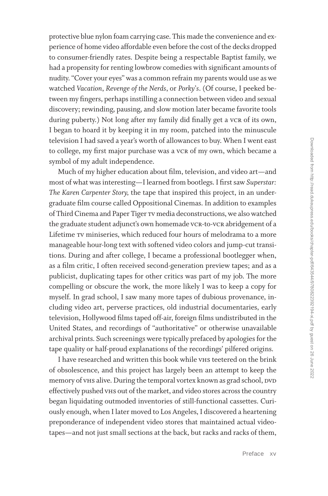protective blue nylon foam carrying case. This made the convenience and experience of home video affordable even before the cost of the decks dropped to consumer-friendly rates. Despite being a respectable Baptist family, we had a propensity for renting lowbrow comedies with significant amounts of nudity. "Cover your eyes" was a common refrain my parents would use as we watched *Vacation*, *Revenge of the Nerds*, or *Porky*'*s*. (Of course, I peeked between my fingers, perhaps instilling a connection between video and sexual discovery; rewinding, pausing, and slow motion later became favorite tools during puberty.) Not long after my family did finally get a vcr of its own, I began to hoard it by keeping it in my room, patched into the minuscule television I had saved a year's worth of allowances to buy. When I went east to college, my first major purchase was a vcr of my own, which became a symbol of my adult independence.

Much of my higher education about film, television, and video art—and most of what was interesting—I learned from bootlegs. I first saw *Superstar: The Karen Carpenter Story,* the tape that inspired this project, in an undergraduate film course called Oppositional Cinemas. In addition to examples of Third Cinema and Paper Tiger tv media deconstructions, we also watched the graduate student adjunct's own homemade vcr-to-vcr abridgement of a Lifetime  $Tv$  miniseries, which reduced four hours of melodrama to a more manageable hour-long text with softened video colors and jump-cut transitions. During and after college, I became a professional bootlegger when, as a film critic, I often received second-generation preview tapes; and as a publicist, duplicating tapes for other critics was part of my job. The more compelling or obscure the work, the more likely I was to keep a copy for myself. In grad school, I saw many more tapes of dubious provenance, including video art, perverse practices, old industrial documentaries, early television, Hollywood films taped off-air, foreign films undistributed in the United States, and recordings of "authoritative" or otherwise unavailable archival prints. Such screenings were typically prefaced by apologies for the tape quality or half-proud explanations of the recordings' pilfered origins.

I have researched and written this book while vhs teetered on the brink of obsolescence, and this project has largely been an attempt to keep the memory of vHs alive. During the temporal vortex known as grad school, DVD effectively pushed vhs out of the market, and video stores across the country began liquidating outmoded inventories of still-functional cassettes. Curiously enough, when I later moved to Los Angeles, I discovered a heartening preponderance of independent video stores that maintained actual videotapes—and not just small sections at the back, but racks and racks of them,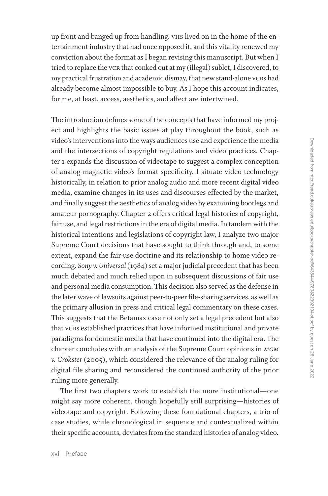up front and banged up from handling. vhs lived on in the home of the entertainment industry that had once opposed it, and this vitality renewed my conviction about the format as I began revising this manuscript. But when I tried to replace the vcr that conked out at my (illegal) sublet, I discovered, to my practical frustration and academic dismay, that new stand-alone vcrs had already become almost impossible to buy. As I hope this account indicates, for me, at least, access, aesthetics, and affect are intertwined.

The introduction defines some of the concepts that have informed my project and highlights the basic issues at play throughout the book, such as video's interventions into the ways audiences use and experience the media and the intersections of copyright regulations and video practices. Chapter 1 expands the discussion of videotape to suggest a complex conception of analog magnetic video's format specificity. I situate video technology historically, in relation to prior analog audio and more recent digital video media, examine changes in its uses and discourses effected by the market, and finally suggest the aesthetics of analog video by examining bootlegs and amateur pornography. Chapter 2 offers critical legal histories of copyright, fair use, and legal restrictions in the era of digital media. In tandem with the historical intentions and legislations of copyright law, I analyze two major Supreme Court decisions that have sought to think through and, to some extent, expand the fair-use doctrine and its relationship to home video recording. *Sony v. Universal* (1984) set a major judicial precedent that has been much debated and much relied upon in subsequent discussions of fair use and personal media consumption. This decision also served as the defense in the later wave of lawsuits against peer-to-peer file-sharing services, as well as the primary allusion in press and critical legal commentary on these cases. This suggests that the Betamax case not only set a legal precedent but also that vcrs established practices that have informed institutional and private paradigms for domestic media that have continued into the digital era. The chapter concludes with an analysis of the Supreme Court opinions in MGM *v. Grokster* (2005), which considered the relevance of the analog ruling for digital file sharing and reconsidered the continued authority of the prior ruling more generally.

The first two chapters work to establish the more institutional—one might say more coherent, though hopefully still surprising—histories of videotape and copyright. Following these foundational chapters, a trio of case studies, while chronological in sequence and contextualized within their specific accounts, deviates from the standard histories of analog video.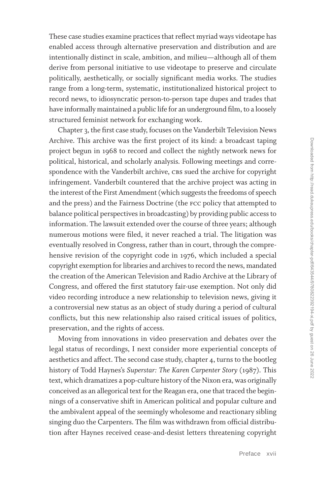These case studies examine practices that reflect myriad ways videotape has enabled access through alternative preservation and distribution and are intentionally distinct in scale, ambition, and milieu—although all of them derive from personal initiative to use videotape to preserve and circulate politically, aesthetically, or socially significant media works. The studies range from a long-term, systematic, institutionalized historical project to record news, to idiosyncratic person-to-person tape dupes and trades that have informally maintained a public life for an underground film, to a loosely structured feminist network for exchanging work.

Chapter 3, the first case study, focuses on the Vanderbilt Television News Archive. This archive was the first project of its kind: a broadcast taping project begun in 1968 to record and collect the nightly network news for political, historical, and scholarly analysis. Following meetings and correspondence with the Vanderbilt archive, CBS sued the archive for copyright infringement. Vanderbilt countered that the archive project was acting in the interest of the First Amendment (which suggests the freedoms of speech and the press) and the Fairness Doctrine (the fcc policy that attempted to balance political perspectives in broadcasting) by providing public access to information. The lawsuit extended over the course of three years; although numerous motions were filed, it never reached a trial. The litigation was eventually resolved in Congress, rather than in court, through the comprehensive revision of the copyright code in 1976, which included a special copyright exemption for libraries and archives to record the news, mandated the creation of the American Television and Radio Archive at the Library of Congress, and offered the first statutory fair-use exemption. Not only did video recording introduce a new relationship to television news, giving it a controversial new status as an object of study during a period of cultural conflicts, but this new relationship also raised critical issues of politics, preservation, and the rights of access.

Moving from innovations in video preservation and debates over the legal status of recordings, I next consider more experiential concepts of aesthetics and affect. The second case study, chapter 4, turns to the bootleg history of Todd Haynes's *Superstar: The Karen Carpenter Story* (1987). This text, which dramatizes a pop-culture history of the Nixon era, was originally conceived as an allegorical text for the Reagan era, one that traced the beginnings of a conservative shift in American political and popular culture and the ambivalent appeal of the seemingly wholesome and reactionary sibling singing duo the Carpenters. The film was withdrawn from official distribution after Haynes received cease-and-desist letters threatening copyright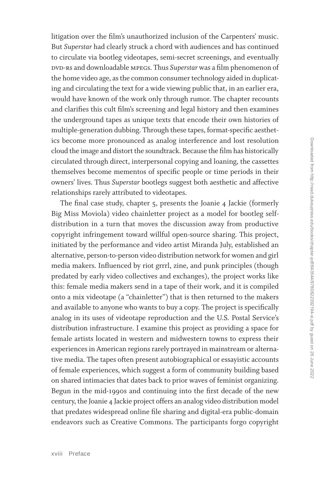litigation over the film's unauthorized inclusion of the Carpenters' music. But *Superstar* had clearly struck a chord with audiences and has continued to circulate via bootleg videotapes, semi-secret screenings, and eventually dvd-rs and downloadable mpegs. Thus *Superstar* was a film phenomenon of the home video age, as the common consumer technology aided in duplicating and circulating the text for a wide viewing public that, in an earlier era, would have known of the work only through rumor. The chapter recounts and clarifies this cult film's screening and legal history and then examines the underground tapes as unique texts that encode their own histories of multiple-generation dubbing. Through these tapes, format-specific aesthetics become more pronounced as analog interference and lost resolution cloud the image and distort the soundtrack. Because the film has historically circulated through direct, interpersonal copying and loaning, the cassettes themselves become mementos of specific people or time periods in their owners' lives. Thus *Superstar* bootlegs suggest both aesthetic and affective relationships rarely attributed to videotapes.

The final case study, chapter 5, presents the Joanie 4 Jackie (formerly Big Miss Moviola) video chainletter project as a model for bootleg selfdistribution in a turn that moves the discussion away from productive copyright infringement toward willful open-source sharing. This project, initiated by the performance and video artist Miranda July, established an alternative, person-to-person video distribution network for women and girl media makers. Influenced by riot grrrl, zine, and punk principles (though predated by early video collectives and exchanges), the project works like this: female media makers send in a tape of their work, and it is compiled onto a mix videotape (a "chainletter") that is then returned to the makers and available to anyone who wants to buy a copy. The project is specifically analog in its uses of videotape reproduction and the U.S. Postal Service's distribution infrastructure. I examine this project as providing a space for female artists located in western and midwestern towns to express their experiences in American regions rarely portrayed in mainstream or alternative media. The tapes often present autobiographical or essayistic accounts of female experiences, which suggest a form of community building based on shared intimacies that dates back to prior waves of feminist organizing. Begun in the mid-1990s and continuing into the first decade of the new century, the Joanie 4 Jackie project offers an analog video distribution model that predates widespread online file sharing and digital-era public-domain endeavors such as Creative Commons. The participants forgo copyright